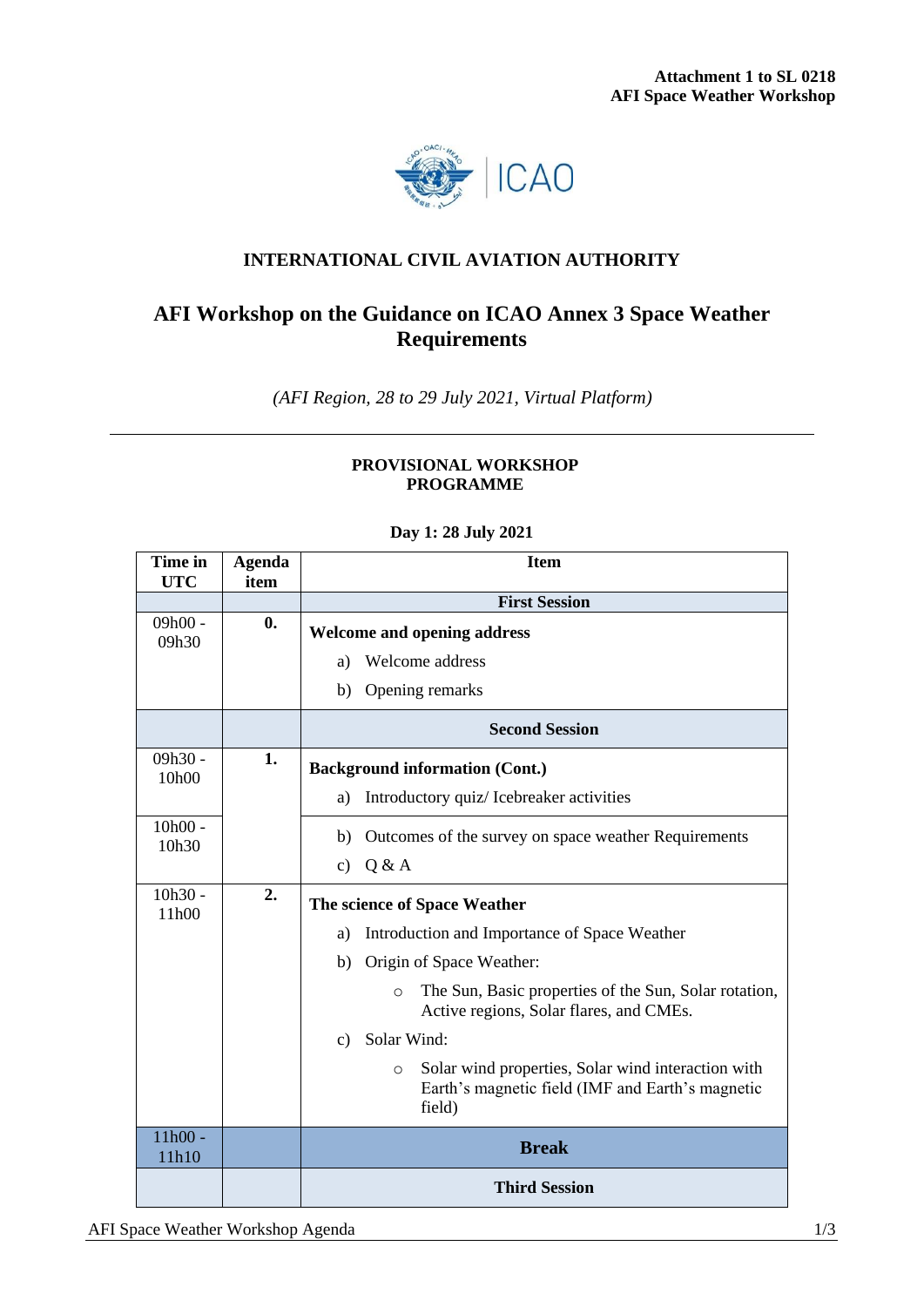

## **INTERNATIONAL CIVIL AVIATION AUTHORITY**

## **AFI Workshop on the Guidance on ICAO Annex 3 Space Weather Requirements**

*(AFI Region, 28 to 29 July 2021, Virtual Platform)*

## **PROVISIONAL WORKSHOP PROGRAMME**

| Time in<br><b>UTC</b> | <b>Agenda</b><br>item | <b>Item</b>                                                                                                                 |  |  |
|-----------------------|-----------------------|-----------------------------------------------------------------------------------------------------------------------------|--|--|
|                       |                       | <b>First Session</b>                                                                                                        |  |  |
| $09h00 -$<br>09h30    | $\mathbf{0}$ .        | <b>Welcome and opening address</b>                                                                                          |  |  |
|                       |                       | Welcome address<br>a)                                                                                                       |  |  |
|                       |                       | Opening remarks<br>b)                                                                                                       |  |  |
|                       |                       | <b>Second Session</b>                                                                                                       |  |  |
| $09h30 -$<br>10h00    | 1.                    | <b>Background information (Cont.)</b>                                                                                       |  |  |
|                       |                       | Introductory quiz/ Icebreaker activities<br>a)                                                                              |  |  |
| $10h00 -$<br>10h30    |                       | Outcomes of the survey on space weather Requirements<br>b)                                                                  |  |  |
|                       |                       | Q & A<br>$\mathbf{c})$                                                                                                      |  |  |
| $10h30 -$<br>11h00    | 2.                    | The science of Space Weather                                                                                                |  |  |
|                       |                       | Introduction and Importance of Space Weather<br>a)                                                                          |  |  |
|                       |                       | Origin of Space Weather:<br>b)                                                                                              |  |  |
|                       |                       | The Sun, Basic properties of the Sun, Solar rotation,<br>$\circ$<br>Active regions, Solar flares, and CMEs.                 |  |  |
|                       |                       | Solar Wind:<br>$\mathbf{c}$                                                                                                 |  |  |
|                       |                       | Solar wind properties, Solar wind interaction with<br>$\circ$<br>Earth's magnetic field (IMF and Earth's magnetic<br>field) |  |  |
| $11h00 -$<br>11h10    |                       | <b>Break</b>                                                                                                                |  |  |
|                       |                       | <b>Third Session</b>                                                                                                        |  |  |

## **Day 1: 28 July 2021**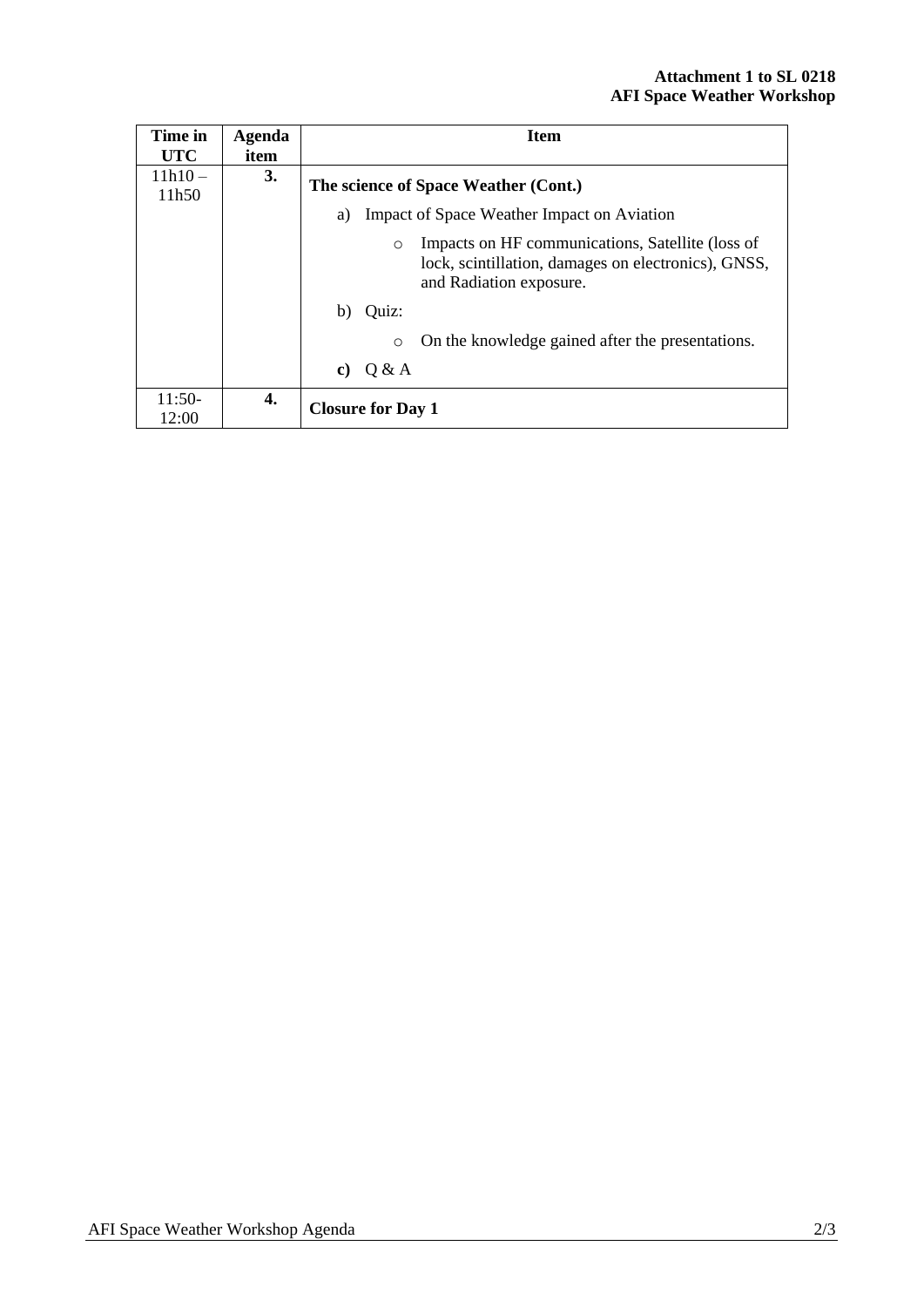| Time in            | Agenda | <b>Item</b>                                                                                                                                   |  |  |
|--------------------|--------|-----------------------------------------------------------------------------------------------------------------------------------------------|--|--|
| <b>UTC</b>         | item   |                                                                                                                                               |  |  |
| $11h10 -$<br>11h50 | 3.     | The science of Space Weather (Cont.)<br>Impact of Space Weather Impact on Aviation<br>a)                                                      |  |  |
|                    |        |                                                                                                                                               |  |  |
|                    |        | Impacts on HF communications, Satellite (loss of<br>$\circ$<br>lock, scintillation, damages on electronics), GNSS,<br>and Radiation exposure. |  |  |
|                    |        | Quiz:<br>b)                                                                                                                                   |  |  |
|                    |        | On the knowledge gained after the presentations.<br>$\Omega$                                                                                  |  |  |
|                    |        | Q & A<br>C)                                                                                                                                   |  |  |
| $11:50-$<br>12:00  | 4.     | <b>Closure for Day 1</b>                                                                                                                      |  |  |